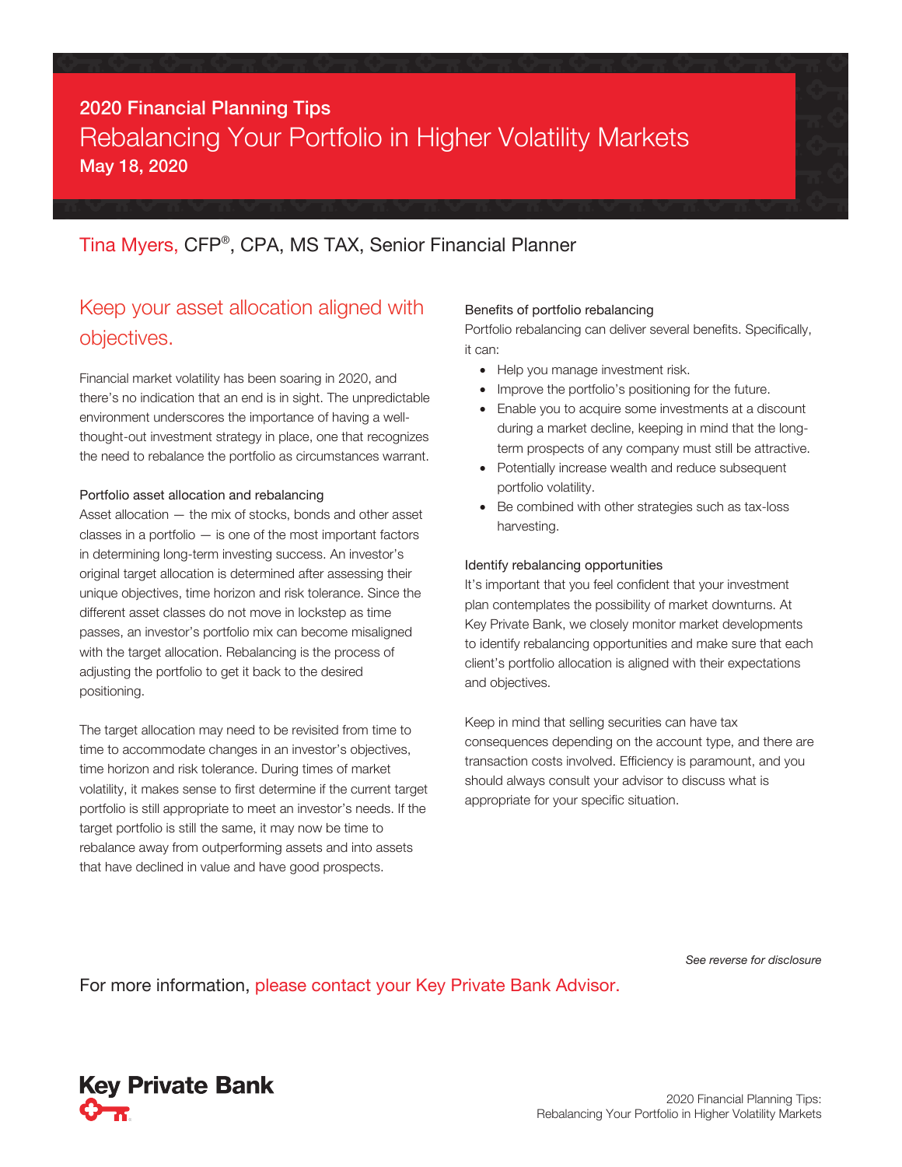# 2020 Financial Planning Tips Rebalancing Your Portfolio in Higher Volatility Markets May 18, 2020

### Tina Myers, CFP® , CPA, MS TAX, Senior Financial Planner

## Keep your asset allocation aligned with objectives.

Financial market volatility has been soaring in 2020, and there's no indication that an end is in sight. The unpredictable environment underscores the importance of having a wellthought-out investment strategy in place, one that recognizes the need to rebalance the portfolio as circumstances warrant.

#### Portfolio asset allocation and rebalancing

Asset allocation — the mix of stocks, bonds and other asset classes in a portfolio — is one of the most important factors in determining long-term investing success. An investor's original target allocation is determined after assessing their unique objectives, time horizon and risk tolerance. Since the different asset classes do not move in lockstep as time passes, an investor's portfolio mix can become misaligned with the target allocation. Rebalancing is the process of adjusting the portfolio to get it back to the desired positioning.

The target allocation may need to be revisited from time to time to accommodate changes in an investor's objectives, time horizon and risk tolerance. During times of market volatility, it makes sense to first determine if the current target portfolio is still appropriate to meet an investor's needs. If the target portfolio is still the same, it may now be time to rebalance away from outperforming assets and into assets that have declined in value and have good prospects.

#### Benefits of portfolio rebalancing

Portfolio rebalancing can deliver several benefits. Specifically, it can:

- Help you manage investment risk.
- Improve the portfolio's positioning for the future.
- Enable you to acquire some investments at a discount during a market decline, keeping in mind that the longterm prospects of any company must still be attractive.
- Potentially increase wealth and reduce subsequent portfolio volatility.
- Be combined with other strategies such as tax-loss harvesting.

#### Identify rebalancing opportunities

It's important that you feel confident that your investment plan contemplates the possibility of market downturns. At Key Private Bank, we closely monitor market developments to identify rebalancing opportunities and make sure that each client's portfolio allocation is aligned with their expectations and objectives.

Keep in mind that selling securities can have tax consequences depending on the account type, and there are transaction costs involved. Efficiency is paramount, and you should always consult your advisor to discuss what is appropriate for your specific situation.

*See reverse for disclosure*

For more information, please contact your Key Private Bank Advisor.